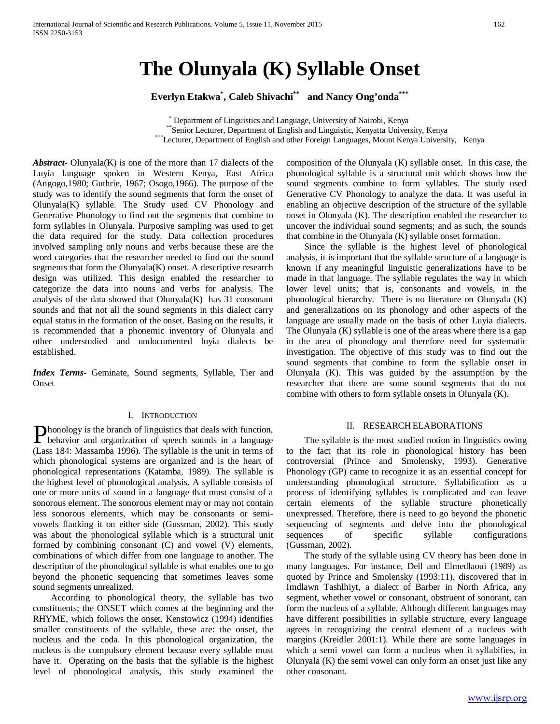# **The Olunyala (K) Syllable Onset**

**Everlyn Etakwa\* , Caleb Shivachi\*\* and Nancy Ong'onda\*\*\***

\* Department of Linguistics and Language, University of Nairobi, Kenya

\*\*Senior Lecturer, Department of English and Linguistic, Kenyatta University, Kenya

\*\*\*Lecturer, Department of English and other Foreign Languages, Mount Kenya University, Kenya

*Abstract***-** Olunyala(K) is one of the more than 17 dialects of the Luyia language spoken in Western Kenya, East Africa (Angogo,1980; Guthrie, 1967; Osogo,1966). The purpose of the study was to identify the sound segments that form the onset of  $Olunvala(K)$  syllable. The Study used CV Phonology and Generative Phonology to find out the segments that combine to form syllables in Olunyala. Purposive sampling was used to get the data required for the study. Data collection procedures involved sampling only nouns and verbs because these are the word categories that the researcher needed to find out the sound segments that form the Olunyala(K) onset. A descriptive research design was utilized. This design enabled the researcher to categorize the data into nouns and verbs for analysis. The analysis of the data showed that Olunyala $(K)$  has 31 consonant sounds and that not all the sound segments in this dialect carry equal status in the formation of the onset. Basing on the results, it is recommended that a phonemic inventory of Olunyala and other understudied and undocumented luyia dialects be established.

*Index Terms*- Geminate, Sound segments, Syllable, Tier and Onset

# I. INTRODUCTION

honology is the branch of linguistics that deals with function, **Phonology** is the branch of linguistics that deals with function,<br>behavior and organization of speech sounds in a language (Lass 184: Massamba 1996). The syllable is the unit in terms of which phonological systems are organized and is the heart of phonological representations (Katamba, 1989). The syllable is the highest level of phonological analysis. A syllable consists of one or more units of sound in a language that must consist of a sonorous element. The sonorous element may or may not contain less sonorous elements, which may be consonants or semivowels flanking it on either side (Gussman, 2002). This study was about the phonological syllable which is a structural unit formed by combining consonant (C) and vowel (V) elements, combinations of which differ from one language to another. The description of the phonological syllable is what enables one to go beyond the phonetic sequencing that sometimes leaves some sound segments unrealized.

 According to phonological theory, the syllable has two constituents; the ONSET which comes at the beginning and the RHYME, which follows the onset. Kenstowicz (1994) identifies smaller constituents of the syllable, these are: the onset, the nucleus and the coda. In this phonological organization, the nucleus is the compulsory element because every syllable must have it. Operating on the basis that the syllable is the highest level of phonological analysis, this study examined the composition of the Olunyala (K) syllable onset. In this case, the phonological syllable is a structural unit which shows how the sound segments combine to form syllables. The study used Generative CV Phonology to analyze the data. It was useful in enabling an objective description of the structure of the syllable onset in Olunyala (K). The description enabled the researcher to uncover the individual sound segments; and as such, the sounds that combine in the Olunyala (K) syllable onset formation.

 Since the syllable is the highest level of phonological analysis, it is important that the syllable structure of a language is known if any meaningful linguistic generalizations have to be made in that language. The syllable regulates the way in which lower level units; that is, consonants and vowels, in the phonological hierarchy. There is no literature on Olunyala (K) and generalizations on its phonology and other aspects of the language are usually made on the basis of other Luyia dialects. The Olunyala (K) syllable is one of the areas where there is a gap in the area of phonology and therefore need for systematic investigation. The objective of this study was to find out the sound segments that combine to form the syllable onset in Olunyala (K). This was guided by the assumption by the researcher that there are some sound segments that do not combine with others to form syllable onsets in Olunyala (K).

### II. RESEARCH ELABORATIONS

 The syllable is the most studied notion in linguistics owing to the fact that its role in phonological history has been controversial (Prince and Smolensky, 1993). Generative Phonology (GP) came to recognize it as an essential concept for understanding phonological structure. Syllabification as a process of identifying syllables is complicated and can leave certain elements of the syllable structure phonetically unexpressed. Therefore, there is need to go beyond the phonetic sequencing of segments and delve into the phonological sequences of specific syllable configurations (Gussman, 2002).

 The study of the syllable using CV theory has been done in many languages. For instance, Dell and Elmedlaoui (1989) as quoted by Prince and Smolensky (1993:11), discovered that in Imdlawn Tashlhiyt, a dialect of Barber in North Africa, any segment, whether vowel or consonant, obstruent of sonorant, can form the nucleus of a syllable. Although different languages may have different possibilities in syllable structure, every language agrees in recognizing the central element of a nucleus with margins (Kreidler 2001:1). While there are some languages in which a semi vowel can form a nucleus when it syllabifies, in Olunyala (K) the semi vowel can only form an onset just like any other consonant.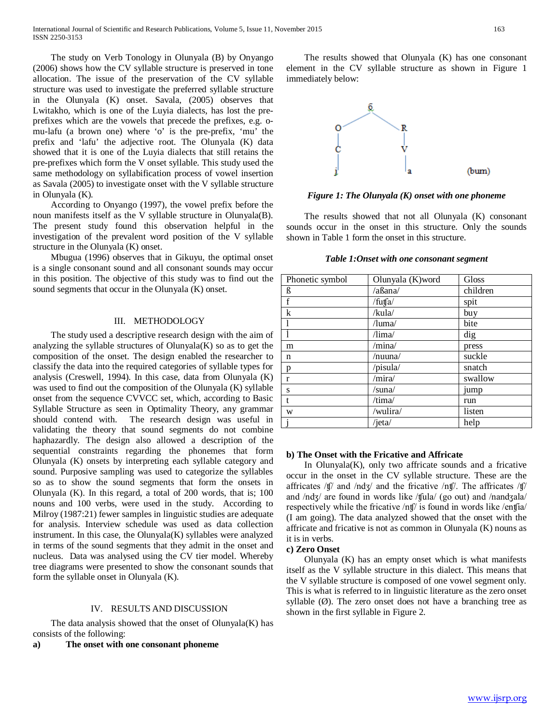The study on Verb Tonology in Olunyala (B) by Onyango (2006) shows how the CV syllable structure is preserved in tone allocation. The issue of the preservation of the CV syllable structure was used to investigate the preferred syllable structure in the Olunyala (K) onset. Savala, (2005) observes that Lwitakho, which is one of the Luyia dialects, has lost the preprefixes which are the vowels that precede the prefixes, e.g. omu-lafu (a brown one) where 'o' is the pre-prefix, 'mu' the prefix and 'lafu' the adjective root. The Olunyala (K) data showed that it is one of the Luyia dialects that still retains the pre-prefixes which form the V onset syllable. This study used the same methodology on syllabification process of vowel insertion as Savala (2005) to investigate onset with the V syllable structure in Olunyala (K).

 According to Onyango (1997), the vowel prefix before the noun manifests itself as the V syllable structure in Olunyala(B). The present study found this observation helpful in the investigation of the prevalent word position of the V syllable structure in the Olunyala (K) onset.

 Mbugua (1996) observes that in Gikuyu, the optimal onset is a single consonant sound and all consonant sounds may occur in this position. The objective of this study was to find out the sound segments that occur in the Olunyala (K) onset.

# III. METHODOLOGY

 The study used a descriptive research design with the aim of analyzing the syllable structures of Olunyala(K) so as to get the composition of the onset. The design enabled the researcher to classify the data into the required categories of syllable types for analysis (Creswell, 1994). In this case, data from Olunyala (K) was used to find out the composition of the Olunyala (K) syllable onset from the sequence CVVCC set, which, according to Basic Syllable Structure as seen in Optimality Theory, any grammar should contend with. The research design was useful in validating the theory that sound segments do not combine haphazardly. The design also allowed a description of the sequential constraints regarding the phonemes that form Olunyala (K) onsets by interpreting each syllable category and sound. Purposive sampling was used to categorize the syllables so as to show the sound segments that form the onsets in Olunyala (K). In this regard, a total of 200 words, that is; 100 nouns and 100 verbs, were used in the study. According to Milroy (1987:21) fewer samples in linguistic studies are adequate for analysis. Interview schedule was used as data collection instrument. In this case, the Olunyala(K) syllables were analyzed in terms of the sound segments that they admit in the onset and nucleus. Data was analysed using the CV tier model. Whereby tree diagrams were presented to show the consonant sounds that form the syllable onset in Olunyala (K).

# IV. RESULTS AND DISCUSSION

 The data analysis showed that the onset of Olunyala(K) has consists of the following:

**a) The onset with one consonant phoneme**

 The results showed that Olunyala (K) has one consonant element in the CV syllable structure as shown in Figure 1 immediately below:



*Figure 1: The Olunyala (K) onset with one phoneme*

 The results showed that not all Olunyala (K) consonant sounds occur in the onset in this structure. Only the sounds shown in Table 1 form the onset in this structure.

#### *Table 1:Onset with one consonant segment*

| Phonetic symbol | Olunyala (K)word         | Gloss    |
|-----------------|--------------------------|----------|
| ß               | /aßana/                  | children |
| f               | /futfa/                  | spit     |
| k               | /kula/                   | buy      |
|                 | $\lambda$ luma $\lambda$ | bite     |
|                 | $\lambda$ lima           | dig      |
| m               | /mina/                   | press    |
| n               | /nuuna/                  | suckle   |
| p               | /pisula/                 | snatch   |
| r               | /mira/                   | swallow  |
| S               | /suna/                   | jump     |
| t               | /tima/                   | run      |
| W               | /wulira/                 | listen   |
|                 | /jeta/                   | help     |

#### **b) The Onset with the Fricative and Affricate**

In Olunyala $(K)$ , only two affricate sounds and a fricative occur in the onset in the CV syllable structure. These are the affricates /ʧ/ and /ndʒ/ and the fricative /nʧ/. The affricates /ʧ/ and /ndʒ/ are found in words like /ʧula/ (go out) and /nandʒala/ respectively while the fricative /nʧ/ is found in words like /enʧia/ (I am going). The data analyzed showed that the onset with the affricate and fricative is not as common in Olunyala (K) nouns as it is in verbs.

# **c) Zero Onset**

 Olunyala (K) has an empty onset which is what manifests itself as the V syllable structure in this dialect. This means that the V syllable structure is composed of one vowel segment only. This is what is referred to in linguistic literature as the zero onset syllable  $(\emptyset)$ . The zero onset does not have a branching tree as shown in the first syllable in Figure 2.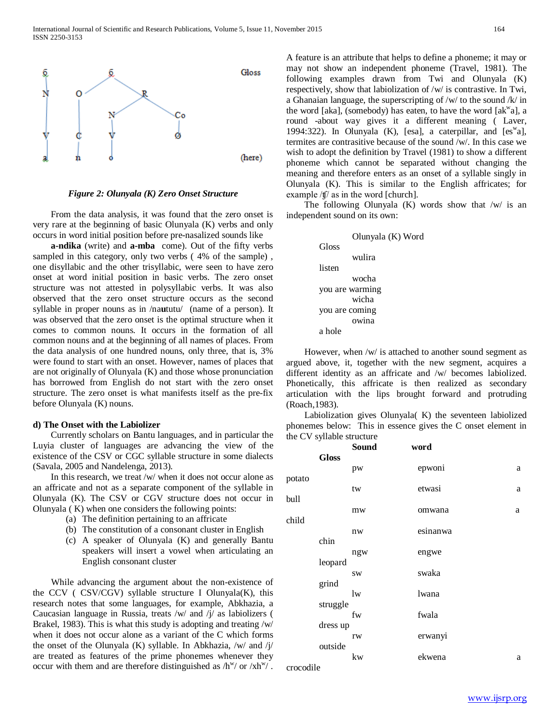

*Figure 2: Olunyala (K) Zero Onset Structure*

 From the data analysis, it was found that the zero onset is very rare at the beginning of basic Olunyala (K) verbs and only occurs in word initial position before pre-nasalized sounds like

 **a-ndika** (write) and **a-mba** come). Out of the fifty verbs sampled in this category, only two verbs ( 4% of the sample) , one disyllabic and the other trisyllabic, were seen to have zero onset at word initial position in basic verbs. The zero onset structure was not attested in polysyllabic verbs. It was also observed that the zero onset structure occurs as the second syllable in proper nouns as in /na**u**tutu/ (name of a person). It was observed that the zero onset is the optimal structure when it comes to common nouns. It occurs in the formation of all common nouns and at the beginning of all names of places. From the data analysis of one hundred nouns, only three, that is, 3% were found to start with an onset. However, names of places that are not originally of Olunyala (K) and those whose pronunciation has borrowed from English do not start with the zero onset structure. The zero onset is what manifests itself as the pre-fix before Olunyala (K) nouns.

# **d) The Onset with the Labiolizer**

 Currently scholars on Bantu languages, and in particular the Luyia cluster of languages are advancing the view of the existence of the CSV or CGC syllable structure in some dialects (Savala, 2005 and Nandelenga, 2013).

 In this research, we treat /w/ when it does not occur alone as an affricate and not as a separate component of the syllable in Olunyala (K). The CSV or CGV structure does not occur in Olunyala ( K) when one considers the following points:

- (a) The definition pertaining to an affricate
- (b) The constitution of a consonant cluster in English
- (c) A speaker of Olunyala (K) and generally Bantu speakers will insert a vowel when articulating an English consonant cluster

 While advancing the argument about the non-existence of the CCV ( CSV/CGV) syllable structure I Olunyala(K), this research notes that some languages, for example, Abkhazia, a Caucasian language in Russia, treats /w/ and /j/ as labiolizers ( Brakel, 1983). This is what this study is adopting and treating /w/ when it does not occur alone as a variant of the C which forms the onset of the Olunyala (K) syllable. In Abkhazia,  $/w/$  and  $/\gamma/$ are treated as features of the prime phonemes whenever they occur with them and are therefore distinguished as  $/h^w/$  or  $x/h^w/$ . A feature is an attribute that helps to define a phoneme; it may or may not show an independent phoneme (Travel, 1981). The following examples drawn from Twi and Olunyala (K) respectively, show that labiolization of /w/ is contrastive. In Twi, a Ghanaian language, the superscripting of /w/ to the sound /k/ in the word [aka], (somebody) has eaten, to have the word [ak $w$ a], a round -about way gives it a different meaning ( Laver, 1994:322). In Olunyala (K), [esa], a caterpillar, and  $[es^{\mathbf{w}}a]$ , termites are contrasitive because of the sound /w/. In this case we wish to adopt the definition by Travel (1981) to show a different phoneme which cannot be separated without changing the meaning and therefore enters as an onset of a syllable singly in Olunyala (K). This is similar to the English affricates; for example /ʧ/ as in the word [church].

The following Olunyala  $(K)$  words show that /w/ is an independent sound on its own:

|                | Olunyala (K) Word |
|----------------|-------------------|
| Gloss          |                   |
|                | wulira            |
| listen         |                   |
|                | wocha             |
|                | you are warming   |
|                | wicha             |
| you are coming |                   |
|                | owina             |
| a hole         |                   |

 However, when /w/ is attached to another sound segment as argued above, it, together with the new segment, acquires a different identity as an affricate and /w/ becomes labiolized. Phonetically, this affricate is then realized as secondary articulation with the lips brought forward and protruding (Roach,1983).

 Labiolization gives Olunyala( K) the seventeen labiolized phonemes below: This in essence gives the C onset element in the CV syllable structure

|           |              | <b>Sound</b> | word     |   |
|-----------|--------------|--------------|----------|---|
|           | <b>Gloss</b> |              |          |   |
|           |              | pw           | epwoni   | a |
| potato    |              |              |          |   |
|           |              | tw           | etwasi   | a |
| bull      |              |              |          |   |
|           |              | mw           | omwana   | a |
| child     |              |              |          |   |
|           |              | nw           | esinanwa |   |
|           | chin         |              |          |   |
|           |              | ngw          | engwe    |   |
|           | leopard      |              |          |   |
|           |              | <b>SW</b>    | swaka    |   |
|           | grind        |              |          |   |
|           |              | 1w           | lwana    |   |
|           | struggle     |              |          |   |
|           |              | fw           | fwala    |   |
|           | dress up     |              |          |   |
|           |              | rw           | erwanyi  |   |
|           | outside      |              |          |   |
|           |              | kw           | ekwena   | a |
| crocodile |              |              |          |   |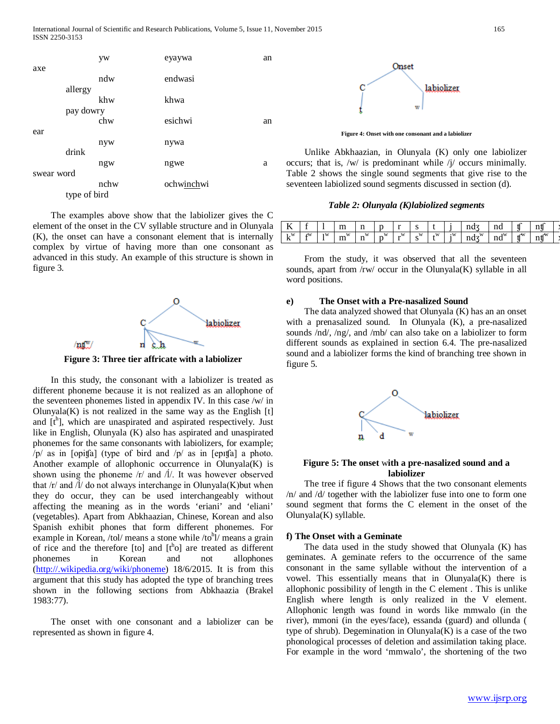

 The examples above show that the labiolizer gives the C element of the onset in the CV syllable structure and in Olunyala (K), the onset can have a consonant element that is internally complex by virtue of having more than one consonant as advanced in this study. An example of this structure is shown in figure 3.



**Figure 3: Three tier affricate with a labiolizer**

 In this study, the consonant with a labiolizer is treated as different phoneme because it is not realized as an allophone of the seventeen phonemes listed in appendix IV. In this case /w/ in Olunyala $(K)$  is not realized in the same way as the English  $[t]$ and  $[t^h]$ , which are unaspirated and aspirated respectively. Just like in English, Olunyala (K) also has aspirated and unaspirated phonemes for the same consonants with labiolizers, for example;  $/p/$  as in [opit[a] (type of bird and  $/p/$  as in [epit[a] a photo. Another example of allophonic occurrence in Olunyala(K) is shown using the phoneme /r/ and /l/. It was however observed that  $\frac{r}{a}$  and  $\frac{1}{a}$  do not always interchange in Olunyala(K) but when they do occur, they can be used interchangeably without affecting the meaning as in the words 'eriani' and 'eliani' (vegetables). Apart from Abkhaazian, Chinese, Korean and also Spanish exhibit phones that form different phonemes. For example in Korean, /tol/ means a stone while /to<sup>h</sup>l/ means a grain of rice and the therefore [to] and  $[t^h$ o] are treated as different phonemes in Korean and not allophones [\(http://.wikipedia.org/wiki/phoneme\)](http://.wikipedia.org/wiki/phoneme) 18/6/2015. It is from this argument that this study has adopted the type of branching trees shown in the following sections from Abkhaazia (Brakel 1983:77).

 The onset with one consonant and a labiolizer can be represented as shown in figure 4.



**Figure 4: Onset with one consonant and a labiolizer**

 Unlike Abkhaazian, in Olunyala (K) only one labiolizer occurs; that is, /w/ is predominant while /j/ occurs minimally. Table 2 shows the single sound segments that give rise to the seventeen labiolized sound segments discussed in section (d).

*Table 2: Olunyala (K)labiolized segments*

| - 7<br>. . |              |    | $\sim$<br>ш<br>--- | -4<br>$\cdots$<br>--        |                     |              | ີ      |            |           | $\mathbf{u}$            | 40<br>па |          | $+1$<br>11 U               |  |
|------------|--------------|----|--------------------|-----------------------------|---------------------|--------------|--------|------------|-----------|-------------------------|----------|----------|----------------------------|--|
| W<br>n     | <b>STATE</b> | ١W | W<br>$\sim$<br>ш   | W<br>$\sim$<br>$\mathbf{H}$ | W<br>$\overline{a}$ | $\mathbf{w}$ | W<br>ື | <b>TTP</b> | $\cdot w$ | W<br>--<br>$\mathbf{u}$ | 1W<br>па | ATI<br>v | $\sqrt{W}$<br>$-1$<br>11 V |  |

 From the study, it was observed that all the seventeen sounds, apart from  $\frac{r}{w}$  occur in the Olunyala $(K)$  syllable in all word positions.

# **e) The Onset with a Pre-nasalized Sound**

 The data analyzed showed that Olunyala (K) has an an onset with a prenasalized sound. In Olunyala (K), a pre-nasalized sounds /nd/, /ng/, and /mb/ can also take on a labiolizer to form different sounds as explained in section 6.4. The pre-nasalized sound and a labiolizer forms the kind of branching tree shown in figure 5.



# **Figure 5: The onset** w**ith a pre-nasalized sound and a labiolizer**

 The tree if figure 4 Shows that the two consonant elements /n/ and /d/ together with the labiolizer fuse into one to form one sound segment that forms the C element in the onset of the Olunyala(K) syllable.

# **f) The Onset with a Geminate**

 The data used in the study showed that Olunyala (K) has geminates. A geminate refers to the occurrence of the same consonant in the same syllable without the intervention of a vowel. This essentially means that in Olunyala(K) there is allophonic possibility of length in the C element . This is unlike English where length is only realized in the V element. Allophonic length was found in words like mmwalo (in the river), mmoni (in the eyes/face), essanda (guard) and ollunda ( type of shrub). Degemination in Olunyala(K) is a case of the two phonological processes of deletion and assimilation taking place. For example in the word 'mmwalo', the shortening of the two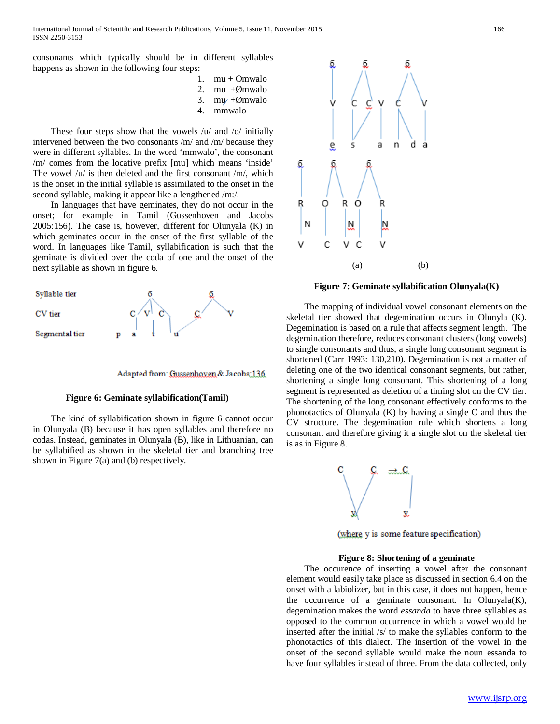consonants which typically should be in different syllables happens as shown in the following four steps:

- 1.  $mu + Omwalo$
- 2. mu  $+\emptyset$ mwalo
- 3. my + $\emptyset$ mwalo<br>4 mmwalo
- 4. mmwalo

 These four steps show that the vowels /u/ and /o/ initially intervened between the two consonants /m/ and /m/ because they were in different syllables. In the word 'mmwalo', the consonant /m/ comes from the locative prefix [mu] which means 'inside' The vowel /u/ is then deleted and the first consonant /m/, which is the onset in the initial syllable is assimilated to the onset in the second syllable, making it appear like a lengthened /m:/.

 In languages that have geminates, they do not occur in the onset; for example in Tamil (Gussenhoven and Jacobs 2005:156). The case is, however, different for Olunyala (K) in which geminates occur in the onset of the first syllable of the word. In languages like Tamil, syllabification is such that the geminate is divided over the coda of one and the onset of the next syllable as shown in figure 6.





# **Figure 6: Geminate syllabification(Tamil)**

 The kind of syllabification shown in figure 6 cannot occur in Olunyala (B) because it has open syllables and therefore no codas. Instead, geminates in Olunyala (B), like in Lithuanian, can be syllabified as shown in the skeletal tier and branching tree shown in Figure 7(a) and (b) respectively.



**Figure 7: Geminate syllabification Olunyala(K)**

 The mapping of individual vowel consonant elements on the skeletal tier showed that degemination occurs in Olunyla (K). Degemination is based on a rule that affects segment length. The degemination therefore, reduces consonant clusters (long vowels) to single consonants and thus, a single long consonant segment is shortened (Carr 1993: 130,210). Degemination is not a matter of deleting one of the two identical consonant segments, but rather, shortening a single long consonant. This shortening of a long segment is represented as deletion of a timing slot on the CV tier. The shortening of the long consonant effectively conforms to the phonotactics of Olunyala (K) by having a single C and thus the CV structure. The degemination rule which shortens a long consonant and therefore giving it a single slot on the skeletal tier is as in Figure 8.



(where y is some feature specification)

# **Figure 8: Shortening of a geminate**

 The occurence of inserting a vowel after the consonant element would easily take place as discussed in section 6.4 on the onset with a labiolizer, but in this case, it does not happen, hence the occurrence of a geminate consonant. In Olunyala $(K)$ , degemination makes the word *essanda* to have three syllables as opposed to the common occurrence in which a vowel would be inserted after the initial /s/ to make the syllables conform to the phonotactics of this dialect. The insertion of the vowel in the onset of the second syllable would make the noun essanda to have four syllables instead of three. From the data collected, only